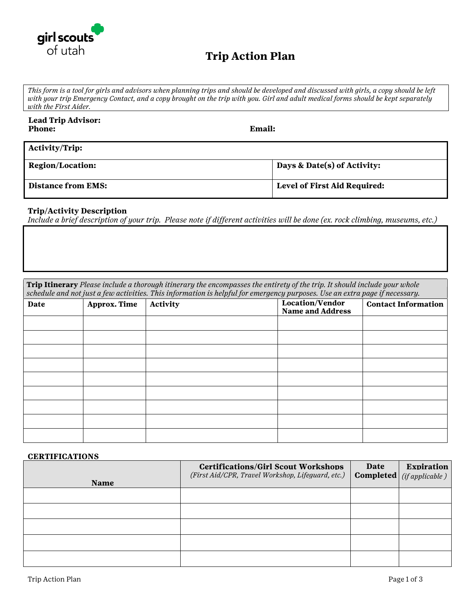

## **Trip Action Plan**

*This form is a tool for girls and advisors when planning trips and should be developed and discussed with girls, a copy should be left with your trip Emergency Contact, and a copy brought on the trip with you. Girl and adult medical forms should be kept separately with the First Aider.* 

| <b>Lead Trip Advisor:</b><br><b>Phone:</b> | <b>Email:</b>                       |  |  |
|--------------------------------------------|-------------------------------------|--|--|
| <b>Activity/Trip:</b>                      |                                     |  |  |
| <b>Region/Location:</b>                    | Days & Date(s) of Activity:         |  |  |
| <b>Distance from EMS:</b>                  | <b>Level of First Aid Required:</b> |  |  |

#### **Trip/Activity Description**

*Include a brief description of your trip. Please note if different activities will be done (ex. rock climbing, museums, etc.)*

**Trip Itinerary** *Please include a thorough itinerary the encompasses the entirety of the trip. It should include your whole schedule and not just a few activities. This information is helpful for emergency purposes. Use an extra page if necessary.* 

| Date | Approx. Time | Activity | Location/Vendor         | <b>Contact Information</b> |
|------|--------------|----------|-------------------------|----------------------------|
|      |              |          | <b>Name and Address</b> |                            |
|      |              |          |                         |                            |
|      |              |          |                         |                            |
|      |              |          |                         |                            |
|      |              |          |                         |                            |
|      |              |          |                         |                            |
|      |              |          |                         |                            |
|      |              |          |                         |                            |
|      |              |          |                         |                            |
|      |              |          |                         |                            |

#### **CERTIFICATIONS**

| <b>Name</b> | <b>Certifications/Girl Scout Workshops</b><br>(First Aid/CPR, Travel Workshop, Lifeguard, etc.) | Date | <b>Expiration</b><br><b>Completed</b> ( <i>if applicable</i> ) |
|-------------|-------------------------------------------------------------------------------------------------|------|----------------------------------------------------------------|
|             |                                                                                                 |      |                                                                |
|             |                                                                                                 |      |                                                                |
|             |                                                                                                 |      |                                                                |
|             |                                                                                                 |      |                                                                |
|             |                                                                                                 |      |                                                                |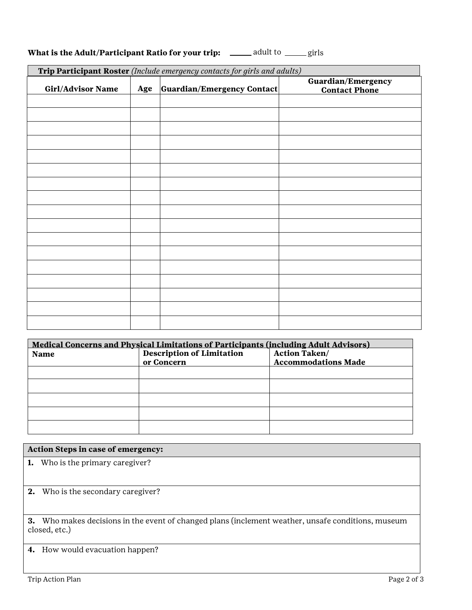| What is the Adult/Participant Ratio for your trip: | adult to<br>— girls |
|----------------------------------------------------|---------------------|
|----------------------------------------------------|---------------------|

| Trip Participant Roster (Include emergency contacts for girls and adults) |     |                            |                                            |
|---------------------------------------------------------------------------|-----|----------------------------|--------------------------------------------|
| Girl/Advisor Name                                                         | Age | Guardian/Emergency Contact | Guardian/Emergency<br><b>Contact Phone</b> |
|                                                                           |     |                            |                                            |
|                                                                           |     |                            |                                            |
|                                                                           |     |                            |                                            |
|                                                                           |     |                            |                                            |
|                                                                           |     |                            |                                            |
|                                                                           |     |                            |                                            |
|                                                                           |     |                            |                                            |
|                                                                           |     |                            |                                            |
|                                                                           |     |                            |                                            |
|                                                                           |     |                            |                                            |
|                                                                           |     |                            |                                            |
|                                                                           |     |                            |                                            |
|                                                                           |     |                            |                                            |
|                                                                           |     |                            |                                            |
|                                                                           |     |                            |                                            |
|                                                                           |     |                            |                                            |
|                                                                           |     |                            |                                            |

| <b>Medical Concerns and Physical Limitations of Participants (including Adult Advisors)</b> |                                  |                            |  |
|---------------------------------------------------------------------------------------------|----------------------------------|----------------------------|--|
| <b>Name</b>                                                                                 | <b>Description of Limitation</b> | <b>Action Taken/</b>       |  |
|                                                                                             | or Concern                       | <b>Accommodations Made</b> |  |
|                                                                                             |                                  |                            |  |
|                                                                                             |                                  |                            |  |
|                                                                                             |                                  |                            |  |
|                                                                                             |                                  |                            |  |
|                                                                                             |                                  |                            |  |

|  |  | Action Steps in case of emergency: |  |
|--|--|------------------------------------|--|
|--|--|------------------------------------|--|

**1.** Who is the primary caregiver?

**2.** Who is the secondary caregiver?

**3.** Who makes decisions in the event of changed plans (inclement weather, unsafe conditions, museum closed, etc.)

**4.** How would evacuation happen?